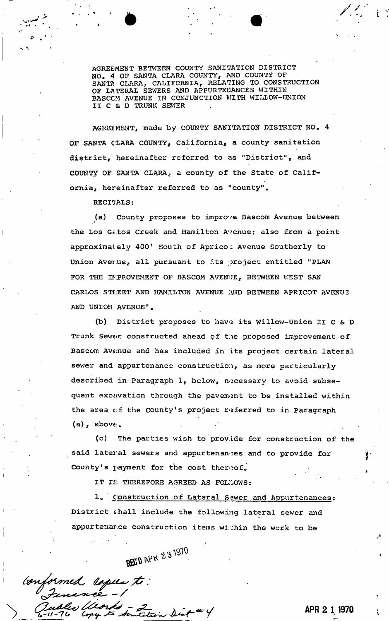AGREEMENT BETWEEN COUNTY SANITATION DISTRICT NO" 4 OF SANTA CLARA COUNTY, AND COUNTY OF SANTA CLARA, CALIFORNIA, RELATING TO CONSTRUCTION OF LATERAL SEWERS AND APPURTENANCES WITHIN BASCCM AVENUE IN CONJUNCTION WITH WILLOW-UNION II C & D TRUNK SEWER

AGREEMENT, made by COUNTY SANITATION DISTRICT NO. 4 OF SANTA CLARA COUNTY, California, a county sanitation district, hereinafter referred to as "District", and COUNTY OF SANTA CLARA, a county of the State of California, hereinafter referred to as "county".

RECITALS:

*a* 

(a) County proposes to improve Bascom Avenue between  $\mathcal{C}^{\mathcal{C}}_{\mathcal{A}}$ the Los Gc.tos Creek and Hamilton Avenue; also from a point approximately 400! South of Aprico; Avenue Southerly to Union Aver.ue, all pursuant to its project entitled "PLAN FOR THE IMPROVEMENT OF BASCOM AVENUE, BETWEEN WEST SAN CARLOS STIEET AND HAMILTON AVENUE ; NO BETWEEN APRICOT AVENUE AND UNION AVENUE".

(b) District proposes to hav'2 its Willow-Union II C & D Trunk Sewer constructed ahead of tie proposed improvement of Bascom Avenue and has included in Its project certain lateral sewer and appurtenance construction, as more particularly described in Paragraph 1, below, necessary to avoid subsequent excavation through the pavem-ant to be installed within the area of the County's project referred to in Paragraph  $(a)$ , above.

(c) The parties wish to"provide for construction of the said lateral sewers and appurtenances and to provide for County's payment for the cost thereof.

IT IS THEREFORE AGREED AS FOLLOWS:

1. Construction of Lateral Sewer and Appurtenances: District shall include the following lateral sewer and appurtenance construction items within the work to be

REC'D APK 231970

Conformed copies to: to Senitetion Dist #4

**APR 2 1 1970**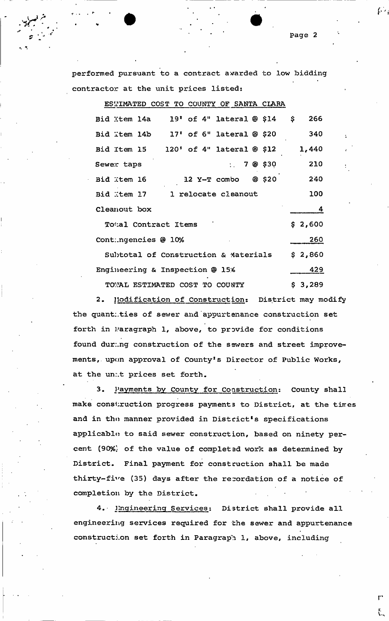performed pursuant to a contract awarded to low bidding contractor at the unit prices listed:

ESTIMATED COST TO COUNTY OF SANTA CLARA Bid Xtem 14a 19' of 4" lateral @ \$14 \$ 266 Bid Ttem 14b 17' of 6" lateral @ \$20 340 Bid Item 15 120' of 4" lateral @ \$12 1,440 Sewer taps 7 8 \$30 210 Bid Item 16 12 Y-T combo © \$20 240 Bid Item 17 1 relocate cleanout 100 Cleanout box 4 To<sub>'al</sub> Contract Items \$ 2,600 Contingencies @ 10% 260 Subtotal of Construction & Materials **\$** 2 / 860 Engineering & Inspection @ 15% 429 TOWAL ESTIMATED COST TO COUNTY \$ 3,289

2. Modification of Construction: District may modify the quantities of sewer and appurtenance construction set forth in Paragraph 1, above, to provide for conditions found during construction of the sewers and street improvements, upon approval of County's Director of Public Works, at the un:.t prices set forth.

3. Payments by County for Construction: County shall make construction progress payments to District, at the times and in tho manner provided in District's specifications applicable to said sewer construction, based on ninety percent (90%; of the value of completed work as determined by District. Final payment for construction shall be made thirty-five (35) days after the recordation of a notice of completion by the District.

4. Ingineering Services: District shall provide all engineering services required for the sewer and appurtenance construction set forth in Paragraph 1, above, including

 $r<sub>1</sub>$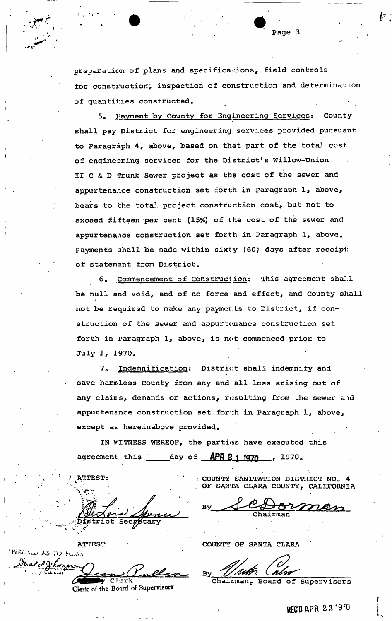preparation of plans and specifications, field controls for construction; inspection of construction and determination of quantifies constructed.

5. Payment by County for Engineering Services: County shall pay District for engineering services provided pursuant to Paragraph 4, above, based on that part of the total cost of engineering services for the District's Willow-Union II C & D Trunk Sewer project as the cost of the sewer and appurtenance construction set forth in Paragraph 1, above, bears to the total project construction cost, but not to exceed fifteen per. cent (15%) of the cost of the sewer and appurtenaice construction set forth in Paragraph  $l<sub>r</sub>$  above. Payments shall be made within sixty (60) days after receipt of statemsnt from District.

6. Commencement of Construction: This agreement shall be null and void, and of no force and effect, and County shall not be required to make any payments to District, if construction of the sewer and appurtenance construction set forth in Paragraph 1, above, is not commenced prior to July 1, 1970.

7. Indemnification: District shall indemnify and save harmless County from any and all loss arising out of any clains, demands or actions, resulting from the sewer aid appurtenance construction set for :h in Paragraph  $l_i$  above, except as hereinabove provided.

IN VTTNESS WEREOF, the parties have executed this agreement this day of **APR 2 1 1970**.

 $ATTEST:$  $\mathcal{N} \subset \mathcal{N}$ Chairman • Chairman • Chairman

**ATTEST COUNTY OF SANTA CLARA** 1 Sekongr

Clerk of the Board of Supervisors

COUNTY SANITATION DISTRICT NO. 4 . OF SANTA CLARA COUNTY, CALIFORNIA

 $y \rightarrow b$   $y \rightarrow b$   $y \rightarrow b$   $y \rightarrow b$   $y \rightarrow b$ 

By *Uller* CAU

of Supervisors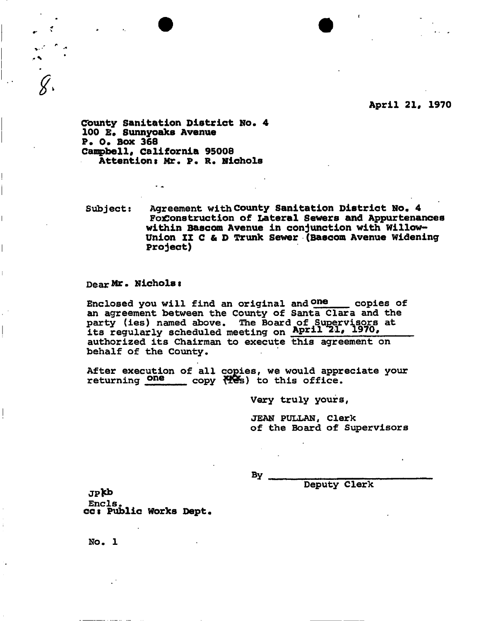**April 21, 1970** 

**I County Sanitation District No. 4 100 E» Sunnyoaks Avenue I P. 0. Box 368**  Campbell, California 95008 **Attentions Mr. P. R. Nichols** 

**Subject: Agreement with County Sanitation District No. 4 FoiConstruction of Lateral Sewers and Appurtenances within Bascom Avenue in conjunction with Willow-Union II C & D Trunk Sewer (Bascom Avenue Widening Project)** 

## **Dear Mr. Nichols t**

 $|$  -section  $\mathcal{S}$ 

 $\overline{a}$ 

Enclosed you will find an original and  $one$  copies of **an agreement between the County of Santa Clara and the party (ies) named above. The Board of Supervisors at its regularly scheduled meeting on April** *zl,* **1970, authorized its Chairman to execute this agreement on behalf of the County,** 

**After execution of all copies, we would appreciate your**  returning **One** copy  $\forall$ Pes) to this office.

**Very truly yours,** 

**JEAN PULLAN, Clerk of the Board of Supervisors** 

**By** 

**Deputy Clerk** 

JPfcb **Encls. cci Public Works Dept.** 

**NO. 1**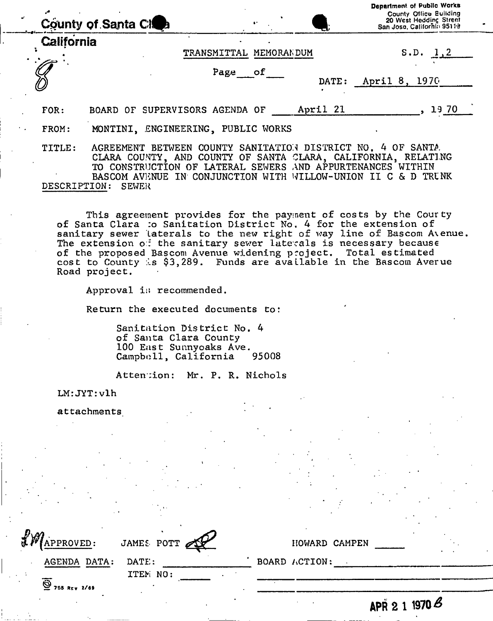|                        | County of Santa Clos                                                                                                                                                                                                                                          |                        |          | Department of Public Works<br><b>County Office Building</b><br>20 West Hedding Street<br>San Jose, California 95119 |
|------------------------|---------------------------------------------------------------------------------------------------------------------------------------------------------------------------------------------------------------------------------------------------------------|------------------------|----------|---------------------------------------------------------------------------------------------------------------------|
| California             |                                                                                                                                                                                                                                                               | TRANSMITTAL MEMORANDUM |          | S.D. $1, 2$                                                                                                         |
|                        |                                                                                                                                                                                                                                                               | Page of                | DATE:    | April 8, 1970                                                                                                       |
| FOR:                   | BOARD OF SUPERVISORS AGENDA OF                                                                                                                                                                                                                                |                        | April 21 | 19 70                                                                                                               |
| FROM:                  | MONTINI, ENGINEERING, PUBLIC WORKS                                                                                                                                                                                                                            |                        |          |                                                                                                                     |
| TITLE:<br>DESCRIPTION: | AGREEMENT BETWEEN COUNTY SANITATION DISTRICT NO. 4 OF SANTA.<br>CLARA COUNTY, AND COUNTY OF SANTA CLARA, CALIFORNIA, RELATING<br>TO CONSTRUCTION OF LATERAL SEWERS AND APPURTENANCES WITHIN<br>BASCOM AVENUE IN CONJUNCTION WITH WILLOW-UNION<br><b>SEWER</b> |                        |          | II C & D TRUNK                                                                                                      |

This agreement provides for the payment of costs by the Courty of Santa Clara :o Sanitation District No. **4** for the extension of sanitary sewer laterals to the new right of way line of Bascom Avenue. The extension of the sanitary sewer laterals is necessary because of the proposed Bascom Avenue widening project. Total estimated cost to County *\ls* **\$3,289.** Funds are available in the Bascom Averue Road project.

Approval is recommended.

Return the executed documents to:

Sanitation District No. **4**  of Santa Clara County 100 East Sunnyoaks Ave. Campbell, California **95008** 

Attention: Mr. P. R. Nichols

LM: JYT:vlh

attachments '

| <b>LM</b> APPROVED:<br>JAMES POTT                                 | HOWARD CAMPEN                      |
|-------------------------------------------------------------------|------------------------------------|
| AGENDA DATA:<br>DATE:                                             | BOARD ACTION:                      |
| ITEM NO:<br>$\overline{\overset{\circ}{\mathbf{Q}}}$ 755 REV 2/69 |                                    |
|                                                                   | 1970 $\mathcal B$<br><b>APR 21</b> |